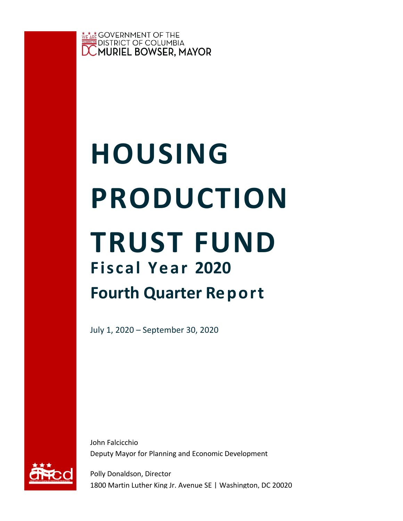

# **Fiscal Year 2020 Fourth Quarter Report HOUSING PRODUCTION TRUST FUND**

July 1, 2020 – September 30, 2020

John Falcicchio Deputy Mayor for Planning and Economic Development



Polly Donaldson, Director 1800 Martin Luther King Jr. Avenue SE | Washington, DC 20020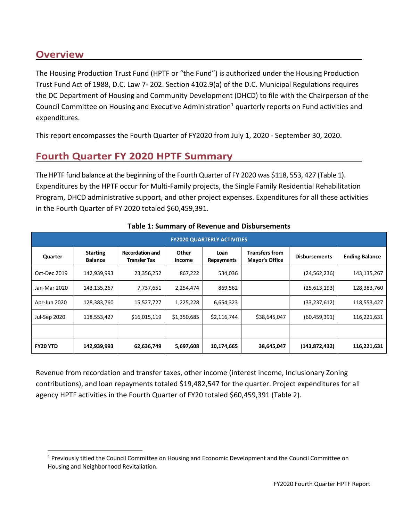## **Overview**

The Housing Production Trust Fund (HPTF or "the Fund") is authorized under the Housing Production Trust Fund Act of 1988, D.C. Law 7- 202. Section 4102.9(a) of the D.C. Municipal Regulations requires the DC Department of Housing and Community Development (DHCD) to file with the Chairperson of the Council Committee on Housing and Executive Administration<sup>1</sup> quarterly reports on Fund activities and expenditures.

This report encompasses the Fourth Quarter of FY2020 from July 1, 2020 - September 30, 2020.

## **Fourth Quarter FY 2020 HPTF Summary**

The HPTF fund balance at the beginning of the Fourth Quarter of FY 2020 was \$118, 553, 427 (Table 1). Expenditures by the HPTF occur for Multi-Family projects, the Single Family Residential Rehabilitation Program, DHCD administrative support, and other project expenses. Expenditures for all these activities in the Fourth Quarter of FY 2020 totaled \$60,459,391.

| <b>FY2020 QUARTERLY ACTIVITIES</b> |                                   |                                        |                        |                    |                                                |                      |                       |  |  |
|------------------------------------|-----------------------------------|----------------------------------------|------------------------|--------------------|------------------------------------------------|----------------------|-----------------------|--|--|
| Quarter                            | <b>Starting</b><br><b>Balance</b> | <b>Recordation and</b><br>Transfer Tax | <b>Other</b><br>Income | Loan<br>Repayments | <b>Transfers from</b><br><b>Mayor's Office</b> | <b>Disbursements</b> | <b>Ending Balance</b> |  |  |
| Oct-Dec 2019                       | 142,939,993                       | 23,356,252                             | 867,222                | 534,036            |                                                | (24, 562, 236)       | 143,135,267           |  |  |
| Jan-Mar 2020                       | 143,135,267                       | 7,737,651                              | 2,254,474              | 869,562            |                                                | (25,613,193)         | 128,383,760           |  |  |
| Apr-Jun 2020                       | 128,383,760                       | 15,527,727                             | 1,225,228              | 6,654,323          |                                                | (33, 237, 612)       | 118,553,427           |  |  |
| Jul-Sep 2020                       | 118,553,427                       | \$16,015,119                           | \$1,350,685            | \$2,116,744        | \$38,645,047                                   | (60, 459, 391)       | 116,221,631           |  |  |
|                                    |                                   |                                        |                        |                    |                                                |                      |                       |  |  |
| <b>FY20 YTD</b>                    | 142,939,993                       | 62,636,749                             | 5,697,608              | 10,174,665         | 38,645,047                                     | (143, 872, 432)      | 116,221,631           |  |  |

#### **Table 1: Summary of Revenue and Disbursements**

Revenue from recordation and transfer taxes, other income (interest income, Inclusionary Zoning contributions), and loan repayments totaled \$19,482,547 for the quarter. Project expenditures for all agency HPTF activities in the Fourth Quarter of FY20 totaled \$60,459,391 (Table 2).

<sup>&</sup>lt;sup>1</sup> Previously titled the Council Committee on Housing and Economic Development and the Council Committee on Housing and Neighborhood Revitaliation.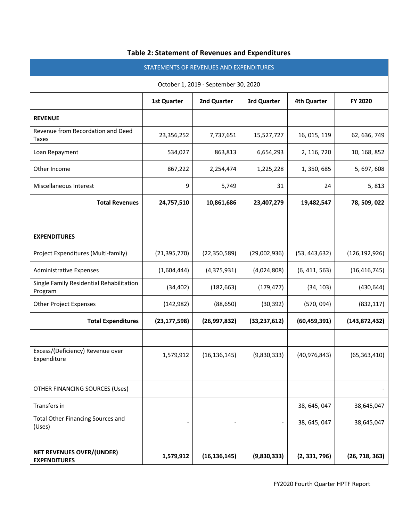| STATEMENTS OF REVENUES AND EXPENDITURES                 |                    |                |                |                    |                 |  |  |  |  |
|---------------------------------------------------------|--------------------|----------------|----------------|--------------------|-----------------|--|--|--|--|
| October 1, 2019 - September 30, 2020                    |                    |                |                |                    |                 |  |  |  |  |
|                                                         | <b>1st Quarter</b> | 2nd Quarter    | 3rd Quarter    | <b>4th Quarter</b> | FY 2020         |  |  |  |  |
| <b>REVENUE</b>                                          |                    |                |                |                    |                 |  |  |  |  |
| Revenue from Recordation and Deed<br><b>Taxes</b>       | 23,356,252         | 7,737,651      | 15,527,727     | 16, 015, 119       | 62, 636, 749    |  |  |  |  |
| Loan Repayment                                          | 534,027            | 863,813        | 6,654,293      | 2, 116, 720        | 10, 168, 852    |  |  |  |  |
| Other Income                                            | 867,222            | 2,254,474      | 1,225,228      | 1, 350, 685        | 5, 697, 608     |  |  |  |  |
| Miscellaneous Interest                                  | 9                  | 5,749          | 31             | 24                 | 5,813           |  |  |  |  |
| <b>Total Revenues</b>                                   | 24,757,510         | 10,861,686     | 23,407,279     | 19,482,547         | 78, 509, 022    |  |  |  |  |
|                                                         |                    |                |                |                    |                 |  |  |  |  |
| <b>EXPENDITURES</b>                                     |                    |                |                |                    |                 |  |  |  |  |
| Project Expenditures (Multi-family)                     | (21, 395, 770)     | (22, 350, 589) | (29,002,936)   | (53, 443, 632)     | (126, 192, 926) |  |  |  |  |
| <b>Administrative Expenses</b>                          | (1,604,444)        | (4,375,931)    | (4,024,808)    | (6, 411, 563)      | (16, 416, 745)  |  |  |  |  |
| Single Family Residential Rehabilitation<br>Program     | (34, 402)          | (182, 663)     | (179, 477)     | (34, 103)          | (430, 644)      |  |  |  |  |
| <b>Other Project Expenses</b>                           | (142, 982)         | (88, 650)      | (30, 392)      | (570, 094)         | (832, 117)      |  |  |  |  |
| <b>Total Expenditures</b>                               | (23, 177, 598)     | (26, 997, 832) | (33, 237, 612) | (60, 459, 391)     | (143, 872, 432) |  |  |  |  |
|                                                         |                    |                |                |                    |                 |  |  |  |  |
| Excess/(Deficiency) Revenue over<br>Expenditure         | 1,579,912          | (16, 136, 145) | (9,830,333)    | (40, 976, 843)     | (65, 363, 410)  |  |  |  |  |
|                                                         |                    |                |                |                    |                 |  |  |  |  |
| OTHER FINANCING SOURCES (Uses)                          |                    |                |                |                    |                 |  |  |  |  |
| Transfers in                                            |                    |                |                | 38, 645, 047       | 38,645,047      |  |  |  |  |
| <b>Total Other Financing Sources and</b><br>(Uses)      |                    |                |                | 38, 645, 047       | 38,645,047      |  |  |  |  |
|                                                         |                    |                |                |                    |                 |  |  |  |  |
| <b>NET REVENUES OVER/(UNDER)</b><br><b>EXPENDITURES</b> | 1,579,912          | (16, 136, 145) | (9,830,333)    | (2, 331, 796)      | (26, 718, 363)  |  |  |  |  |

#### **Table 2: Statement of Revenues and Expenditures**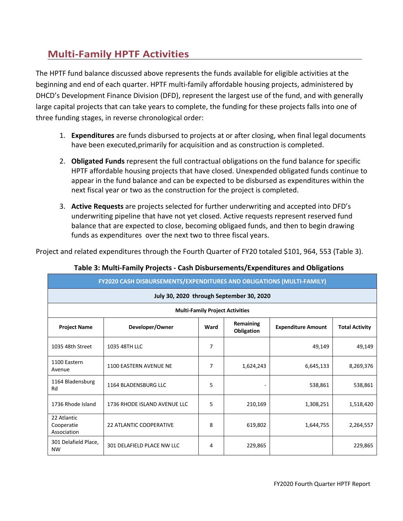# **Multi-Family HPTF Activities**

The HPTF fund balance discussed above represents the funds available for eligible activities at the beginning and end of each quarter. HPTF multi-family affordable housing projects, administered by DHCD's Development Finance Division (DFD), represent the largest use of the fund, and with generally large capital projects that can take years to complete, the funding for these projects falls into one of three funding stages, in reverse chronological order:

- 1. **Expenditures** are funds disbursed to projects at or after closing, when final legal documents have been executed,primarily for acquisition and as construction is completed.
- 2. **Obligated Funds** represent the full contractual obligations on the fund balance for specific HPTF affordable housing projects that have closed. Unexpended obligated funds continue to appear in the fund balance and can be expected to be disbursed as expenditures within the next fiscal year or two as the construction for the project is completed.
- 3. **Active Requests** are projects selected for further underwriting and accepted into DFD's underwriting pipeline that have not yet closed. Active requests represent reserved fund balance that are expected to close, becoming obligaed funds, and then to begin drawing funds as expenditures over the next two to three fiscal years.

Project and related expenditures through the Fourth Quarter of FY20 totaled \$101, 964, 553 (Table 3).

| FY2020 CASH DISBURSEMENTS/EXPENDITURES AND OBLIGATIONS (MULTI-FAMILY)                                                           |                                |                |                              |           |           |  |  |  |
|---------------------------------------------------------------------------------------------------------------------------------|--------------------------------|----------------|------------------------------|-----------|-----------|--|--|--|
| July 30, 2020 through September 30, 2020                                                                                        |                                |                |                              |           |           |  |  |  |
| <b>Multi-Family Project Activities</b>                                                                                          |                                |                |                              |           |           |  |  |  |
| Remaining<br>Developer/Owner<br>Ward<br><b>Expenditure Amount</b><br><b>Total Activity</b><br><b>Project Name</b><br>Obligation |                                |                |                              |           |           |  |  |  |
| 1035 48th Street                                                                                                                | 1035 48TH LLC                  | 7              |                              | 49,149    | 49,149    |  |  |  |
| 1100 Eastern<br>Avenue                                                                                                          | 1100 EASTERN AVENUE NE         | $\overline{7}$ | 1,624,243                    | 6,645,133 | 8,269,376 |  |  |  |
| 1164 Bladensburg<br>Rd                                                                                                          | 1164 BLADENSBURG LLC           | 5              | $\qquad \qquad \blacksquare$ | 538,861   | 538,861   |  |  |  |
| 1736 Rhode Island                                                                                                               | 1736 RHODE ISLAND AVENUE LLC   | 5              | 210,169                      | 1,308,251 | 1,518,420 |  |  |  |
| 22 Atlantic<br>Cooperatie<br>Association                                                                                        | <b>22 ATLANTIC COOPERATIVE</b> | 8              | 619,802                      | 1,644,755 | 2,264,557 |  |  |  |
| 301 Delafield Place,<br><b>NW</b>                                                                                               | 301 DELAFIELD PLACE NW LLC     | 4              | 229,865                      |           | 229,865   |  |  |  |

#### **Table 3: Multi-Family Projects - Cash Disbursements/Expenditures and Obligations**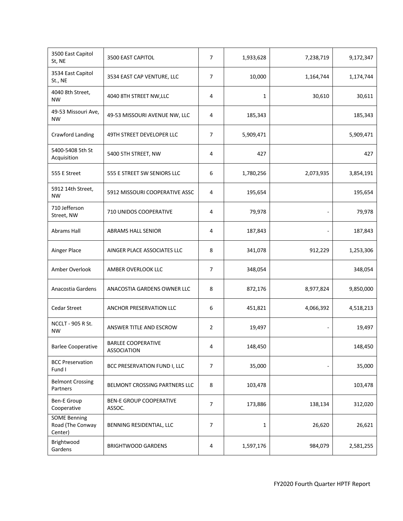| 3500 East Capitol<br>St, NE                        | 3500 EAST CAPITOL                               | $\overline{7}$ | 1,933,628    | 7,238,719 | 9,172,347 |
|----------------------------------------------------|-------------------------------------------------|----------------|--------------|-----------|-----------|
| 3534 East Capitol<br>St., NE                       | 3534 EAST CAP VENTURE, LLC                      | $\overline{7}$ | 10,000       | 1,164,744 | 1,174,744 |
| 4040 8th Street,<br><b>NW</b>                      | 4040 8TH STREET NW, LLC                         | 4              | $\mathbf{1}$ | 30,610    | 30,611    |
| 49-53 Missouri Ave,<br><b>NW</b>                   | 49-53 MISSOURI AVENUE NW, LLC                   | 4              | 185,343      |           | 185,343   |
| Crawford Landing                                   | 49TH STREET DEVELOPER LLC                       | 7              | 5,909,471    |           | 5,909,471 |
| 5400-5408 5th St<br>Acquisition                    | 5400 5TH STREET, NW                             | 4              | 427          |           | 427       |
| 555 E Street                                       | 555 E STREET SW SENIORS LLC                     | 6              | 1,780,256    | 2,073,935 | 3,854,191 |
| 5912 14th Street,<br><b>NW</b>                     | 5912 MISSOURI COOPERATIVE ASSC                  | 4              | 195,654      |           | 195,654   |
| 710 Jefferson<br>Street, NW                        | 710 UNIDOS COOPERATIVE                          | 4              | 79,978       |           | 79,978    |
| <b>Abrams Hall</b>                                 | <b>ABRAMS HALL SENIOR</b>                       | 4              | 187,843      |           | 187,843   |
| Ainger Place                                       | AINGER PLACE ASSOCIATES LLC                     | 8              | 341,078      | 912,229   | 1,253,306 |
| Amber Overlook                                     | AMBER OVERLOOK LLC                              | 7              | 348,054      |           | 348,054   |
| Anacostia Gardens                                  | ANACOSTIA GARDENS OWNER LLC                     | 8              | 872,176      | 8,977,824 | 9,850,000 |
| <b>Cedar Street</b>                                | ANCHOR PRESERVATION LLC                         | 6              | 451,821      | 4,066,392 | 4,518,213 |
| <b>NCCLT - 905 R St.</b><br><b>NW</b>              | ANSWER TITLE AND ESCROW                         | 2              | 19,497       |           | 19,497    |
| <b>Barlee Cooperative</b>                          | <b>BARLEE COOPERATIVE</b><br><b>ASSOCIATION</b> | 4              | 148,450      |           | 148,450   |
| <b>BCC Preservation</b><br>Fund I                  | BCC PRESERVATION FUND I, LLC                    | $\overline{7}$ | 35,000       |           | 35,000    |
| <b>Belmont Crossing</b><br>Partners                | BELMONT CROSSING PARTNERS LLC                   | 8              | 103,478      |           | 103,478   |
| <b>Ben-E Group</b><br>Cooperative                  | <b>BEN-E GROUP COOPERATIVE</b><br>ASSOC.        | $\overline{7}$ | 173,886      | 138,134   | 312,020   |
| <b>SOME Benning</b><br>Road (The Conway<br>Center) | BENNING RESIDENTIAL, LLC                        | $\overline{7}$ | $\mathbf{1}$ | 26,620    | 26,621    |
| Brightwood<br>Gardens                              | <b>BRIGHTWOOD GARDENS</b>                       | 4              | 1,597,176    | 984,079   | 2,581,255 |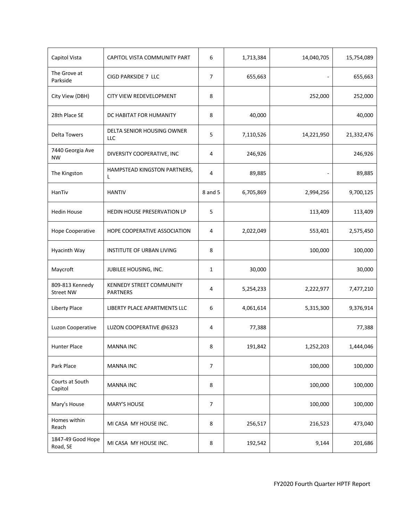| Capitol Vista                       | CAPITOL VISTA COMMUNITY PART                       | 6              | 1,713,384 | 14,040,705 | 15,754,089 |
|-------------------------------------|----------------------------------------------------|----------------|-----------|------------|------------|
| The Grove at<br>Parkside            | CIGD PARKSIDE 7 LLC                                | $\overline{7}$ | 655,663   |            | 655,663    |
| City View (DBH)                     | CITY VIEW REDEVELOPMENT                            | 8              |           | 252,000    | 252,000    |
| 28th Place SE                       | DC HABITAT FOR HUMANITY                            | 8              | 40,000    |            | 40,000     |
| <b>Delta Towers</b>                 | <b>DELTA SENIOR HOUSING OWNER</b><br>LLC           | 5              | 7,110,526 | 14,221,950 | 21,332,476 |
| 7440 Georgia Ave<br><b>NW</b>       | DIVERSITY COOPERATIVE, INC                         | 4              | 246,926   |            | 246,926    |
| The Kingston                        | HAMPSTEAD KINGSTON PARTNERS,<br>L                  | 4              | 89,885    |            | 89,885     |
| HanTiv                              | <b>HANTIV</b>                                      | 8 and 5        | 6,705,869 | 2,994,256  | 9,700,125  |
| <b>Hedin House</b>                  | <b>HEDIN HOUSE PRESERVATION LP</b>                 | 5              |           | 113,409    | 113,409    |
| Hope Cooperative                    | HOPE COOPERATIVE ASSOCIATION                       | 4              | 2,022,049 | 553,401    | 2,575,450  |
| Hyacinth Way                        | INSTITUTE OF URBAN LIVING                          | 8              |           | 100,000    | 100,000    |
| Maycroft                            | JUBILEE HOUSING, INC.                              | 1              | 30,000    |            | 30,000     |
| 809-813 Kennedy<br><b>Street NW</b> | <b>KENNEDY STREET COMMUNITY</b><br><b>PARTNERS</b> | 4              | 5,254,233 | 2,222,977  | 7,477,210  |
| <b>Liberty Place</b>                | LIBERTY PLACE APARTMENTS LLC                       | 6              | 4,061,614 | 5,315,300  | 9,376,914  |
| Luzon Cooperative                   | LUZON COOPERATIVE @6323                            | 4              | 77,388    |            | 77,388     |
| <b>Hunter Place</b>                 | <b>MANNA INC</b>                                   | 8              | 191,842   | 1,252,203  | 1,444,046  |
| Park Place                          | <b>MANNA INC</b>                                   | $\overline{7}$ |           | 100,000    | 100,000    |
| Courts at South<br>Capitol          | <b>MANNA INC</b>                                   | 8              |           | 100,000    | 100,000    |
| Mary's House                        | <b>MARY'S HOUSE</b>                                | $\overline{7}$ |           | 100,000    | 100,000    |
| Homes within<br>Reach               | MI CASA MY HOUSE INC.                              | 8              | 256,517   | 216,523    | 473,040    |
| 1847-49 Good Hope<br>Road, SE       | MI CASA MY HOUSE INC.                              | 8              | 192,542   | 9,144      | 201,686    |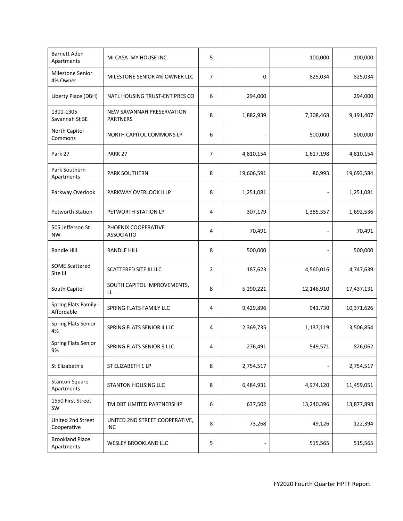| <b>Barnett Aden</b><br>Apartments    | MI CASA MY HOUSE INC.                        | 5              |            | 100,000    | 100,000    |
|--------------------------------------|----------------------------------------------|----------------|------------|------------|------------|
| <b>Milestone Senior</b><br>4% Owner  | MILESTONE SENIOR 4% OWNER LLC                | $\overline{7}$ | 0          | 825,034    | 825,034    |
| Liberty Place (DBH)                  | NATL HOUSING TRUST-ENT PRES CO               | 6              | 294,000    |            | 294,000    |
| 1301-1305<br>Savannah St SE          | NEW SAVANNAH PRESERVATION<br><b>PARTNERS</b> | 8              | 1,882,939  | 7,308,468  | 9,191,407  |
| North Capitol<br>Commons             | NORTH CAPITOL COMMONS LP                     | 6              |            | 500,000    | 500,000    |
| Park 27                              | PARK <sub>27</sub>                           | $\overline{7}$ | 4,810,154  | 1,617,198  | 4,810,154  |
| Park Southern<br>Apartments          | <b>PARK SOUTHERN</b>                         | 8              | 19,606,591 | 86,993     | 19,693,584 |
| Parkway Overlook                     | PARKWAY OVERLOOK II LP                       | 8              | 1,251,081  |            | 1,251,081  |
| <b>Petworth Station</b>              | PETWORTH STATION LP                          | 4              | 307,179    | 1,385,357  | 1,692,536  |
| 505 Jefferson St<br><b>NW</b>        | PHOENIX COOPERATIVE<br><b>ASSOCIATIO</b>     | 4              | 70,491     |            | 70,491     |
| Randle Hill                          | <b>RANDLE HILL</b>                           | 8              | 500,000    |            | 500,000    |
| <b>SOME Scattered</b><br>Site III    | <b>SCATTERED SITE III LLC</b>                | 2              | 187,623    | 4,560,016  | 4,747,639  |
| South Capitol                        | SOUTH CAPITOL IMPROVEMENTS,<br>LL            | 8              | 5,290,221  | 12,146,910 | 17,437,131 |
| Spring Flats Family -<br>Affordable  | SPRING FLATS FAMILY LLC                      | 4              | 9,429,896  | 941,730    | 10,371,626 |
| Spring Flats Senior<br>4%            | <b>SPRING FLATS SENIOR 4 LLC</b>             | 4              | 2,369,735  | 1,137,119  | 3,506,854  |
| Spring Flats Senior<br>9%            | <b>SPRING FLATS SENIOR 9 LLC</b>             | 4              | 276,491    | 549,571    | 826,062    |
| St Elizabeth's                       | ST ELIZABETH 1 LP                            | 8              | 2,754,517  |            | 2,754,517  |
| <b>Stanton Square</b><br>Apartments  | <b>STANTON HOUSING LLC</b>                   | 8              | 6,484,931  | 4,974,120  | 11,459,051 |
| 1550 First Street<br>SW              | TM DBT LIMITED PARTNERSHIP                   | 6              | 637,502    | 13,240,396 | 13,877,898 |
| United 2nd Street<br>Cooperative     | UNITED 2ND STREET COOPERATIVE,<br><b>INC</b> | 8              | 73,268     | 49,126     | 122,394    |
| <b>Brookland Place</b><br>Apartments | <b>WESLEY BROOKLAND LLC</b>                  | 5              |            | 515,565    | 515,565    |